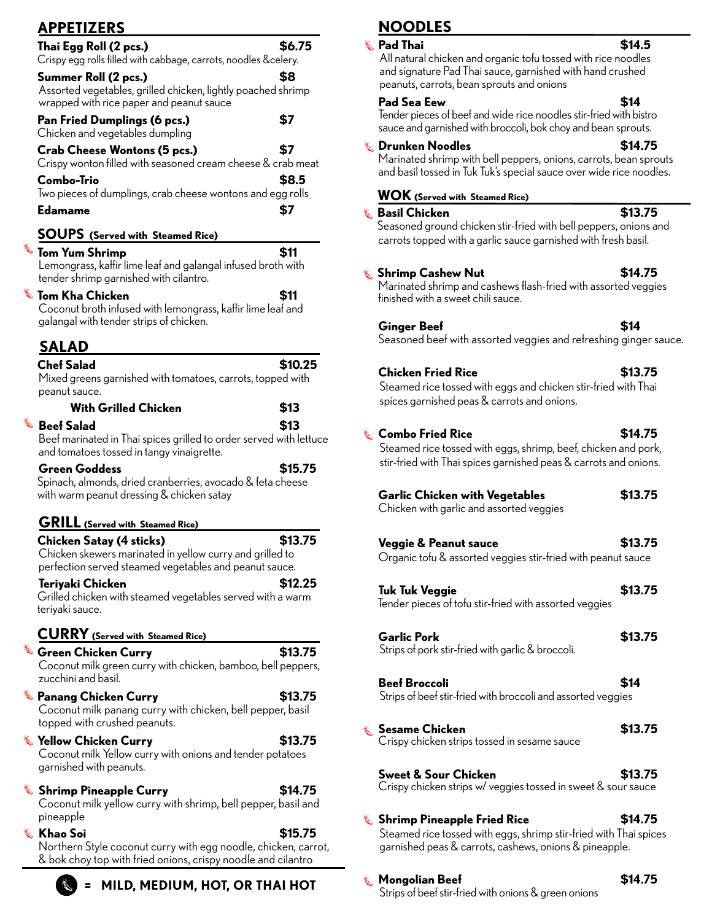| <b>APPETIZERS</b>                                                                                                                                |         |
|--------------------------------------------------------------------------------------------------------------------------------------------------|---------|
| Thai Egg Roll (2 pcs.)<br>Crispy egg rolls filled with cabbage, carrots, noodles &celery.                                                        | \$6.75  |
| Summer Roll (2 pcs.)<br>Assorted vegetables, grilled chicken, lightly poached shrimp<br>wrapped with rice paper and peanut sauce                 | \$8     |
| Pan Fried Dumplings (6 pcs.)<br>Chicken and vegetables dumpling                                                                                  | \$7     |
| <b>Crab Cheese Wontons (5 pcs.)</b><br>Crispy wonton filled with seasoned cream cheese & crab meat                                               | \$7     |
| Combo-Trio<br>Two pieces of dumplings, crab cheese wontons and egg rolls                                                                         | \$8.5   |
| <b>Edamame</b>                                                                                                                                   | \$7     |
| <b>SOUPS</b> (Served with Steamed Rice)                                                                                                          |         |
| <b>&amp;</b> Tom Yum Shrimp<br>Lemongrass, kaffir lime leaf and galangal infused broth with<br>tender shrimp garnished with cilantro.            | \$11    |
| $\mathbb \bar{C}$ Tom Kha Chicken<br>Coconut broth infused with lemongrass, kaffir lime leaf and<br>galangal with tender strips of chicken.      | \$11    |
| <b>SALAD</b>                                                                                                                                     |         |
| <b>Chef Salad</b><br>Mixed greens garnished with tomatoes, carrots, topped with<br>peanut sauce.                                                 | \$10.25 |
| <b>With Grilled Chicken</b>                                                                                                                      | \$13    |
| $\mathbb{\mathbb{R}}$ Beef Salad                                                                                                                 | \$13    |
| Beef marinated in Thai spices grilled to order served with lettuce<br>and tomatoes tossed in tangy vinaigrette.                                  |         |
| <b>Green Goddess</b><br>Spinach, almonds, dried cranberries, avocado & feta cheese<br>with warm peanut dressing & chicken satay                  | \$15.75 |
| <b>GRILL</b> (Served with Steamed Rice)                                                                                                          |         |
| Chicken Satay (4 sticks)<br>Chicken skewers marinated in yellow curry and grilled to<br>perfection served steamed vegetables and peanut sauce.   | \$13.75 |
| Teriyaki Chicken                                                                                                                                 | \$12.25 |
| Grilled chicken with steamed vegetables served with a warm<br>teriyaki sauce.                                                                    |         |
| <b>CURRY</b> (Served with Steamed Rice)                                                                                                          |         |
| $\overset{\ast}{\blacktriangleright}$ Green Chicken Curry<br>Coconut milk green curry with chicken, bamboo, bell peppers,<br>zucchini and basil. | \$13.75 |
| $\mathbb \mathbb S$ Panang Chicken Curry<br>Coconut milk panang curry with chicken, bell pepper, basil                                           | \$13.75 |
| topped with crushed peanuts.<br>& Yellow Chicken Curry<br>Coconut milk Yellow curry with onions and tender potatoes<br>garnished with peanuts.   | \$13.75 |
| <b>Shrimp Pineapple Curry</b><br>Coconut milk yellow curry with shrimp, bell pepper, basil and<br>pineapple                                      | \$14.75 |
| & Khao Soi<br>Northern Style coconut curry with egg noodle, chicken, carrot,<br>& bok choy top with fried onions, crispy noodle and cilantro     | \$15.75 |

**= MILD, MEDIUM, HOT, OR THAI HOT** 

鹜

# **NOODLES**

| $\stackrel{\text{\tiny{*}}{\otimes}}$ Pad Thai<br>All natural chicken and organic tofu tossed with rice noodles                                                                | \$14.5  |
|--------------------------------------------------------------------------------------------------------------------------------------------------------------------------------|---------|
| and signature Pad Thai sauce, garnished with hand crushed<br>peanuts, carrots, bean sprouts and onions                                                                         |         |
| <b>Pad Sea Eew</b><br>Tender pieces of beef and wide rice noodles stir-fried with bistro<br>sauce and garnished with broccoli, bok choy and bean sprouts.                      | \$14    |
| & Drunken Noodles<br>Marinated shrimp with bell peppers, onions, carrots, bean sprouts<br>and basil tossed in Tuk Tuk's special sauce over wide rice noodles.                  | \$14.75 |
| <b>WOK</b> (Served with Steamed Rice)                                                                                                                                          |         |
| <b>&amp; Basil Chicken</b><br>Seasoned ground chicken stir-fried with bell peppers, onions and<br>carrots topped with a garlic sauce garnished with fresh basil.               | \$13.75 |
| ू Shrimp Cashew Nut<br>Marinated shrimp and cashews flash-fried with assorted veggies<br>finished with a sweet chili sauce.                                                    | \$14.75 |
| <b>Ginger Beef</b><br>Seasoned beef with assorted veggies and refreshing ginger sauce.                                                                                         | \$14    |
| <b>Chicken Fried Rice</b><br>Steamed rice tossed with eggs and chicken stir-fried with Thai<br>spices garnished peas & carrots and onions.                                     | \$13.75 |
| <b>Combo Fried Rice</b><br>Steamed rice tossed with eggs, shrimp, beef, chicken and pork,<br>stir-fried with Thai spices garnished peas & carrots and onions.                  | \$14.75 |
| <b>Garlic Chicken with Vegetables</b><br>Chicken with garlic and assorted veggies                                                                                              | \$13.75 |
| <b>Veggie &amp; Peanut sauce</b><br>Organic tofu & assorted veggies stir-fried with peanut sauce                                                                               | \$13.75 |
| <b>Tuk Tuk Veggie</b><br>Tender pieces of tofu stir-fried with assorted veggies                                                                                                | \$13.75 |
| <b>Garlic Pork</b><br>Strips of pork stir-fried with garlic & broccoli.                                                                                                        | \$13.75 |
| <b>Beef Broccoli</b><br>Strips of beef stir-fried with broccoli and assorted veggies                                                                                           | \$14    |
| ू Sesame Chicken<br>Crispy chicken strips tossed in sesame sauce                                                                                                               | \$13.75 |
| Sweet & Sour Chicken<br>Crispy chicken strips w/ veggies tossed in sweet & sour sauce                                                                                          | \$13.75 |
| $\mathbb \mathbb S$ Shrimp Pineapple Fried Rice<br>Steamed rice tossed with eggs, shrimp stir-fried with Thai spices<br>garnished peas & carrots, cashews, onions & pineapple. | \$14.75 |

**Mongolian Beef \$14.75** Strips of beef stir-fried with onions & green onions